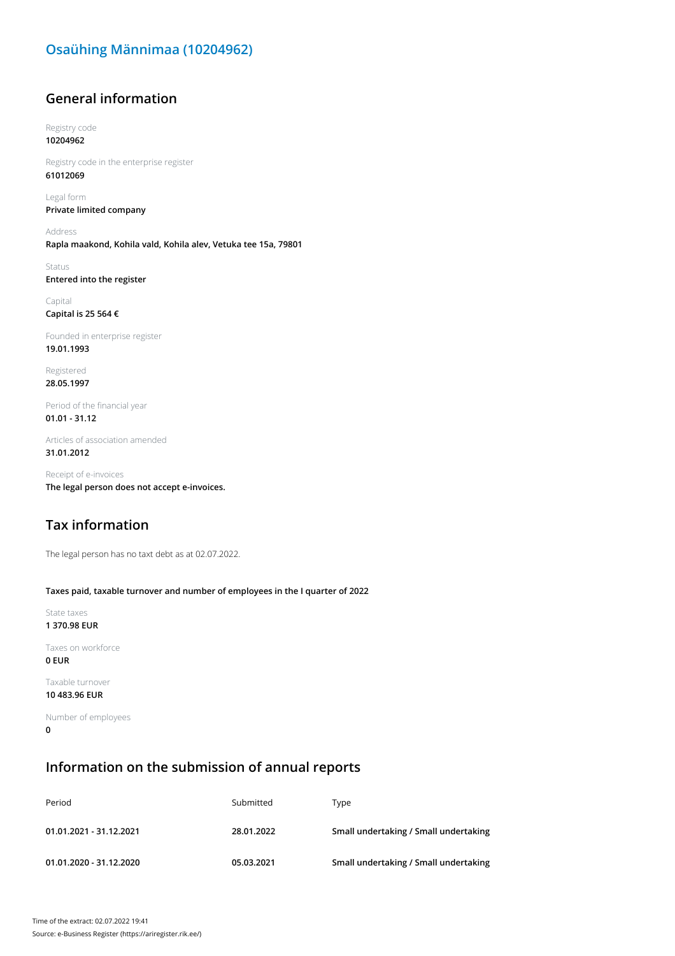# **Osaühing Männimaa (10204962)**

# **General information**

Registry code **10204962**

Registry code in the enterprise register **61012069**

Legal form **Private limited company**

Address **Rapla maakond, Kohila vald, Kohila alev, Vetuka tee 15a, 79801**

Status **Entered into the register**

Capital **Capital is 25 564 €**

Founded in enterprise register **19.01.1993**

Registered **28.05.1997**

Period of the financial year **01.01 - 31.12**

Articles of association amended **31.01.2012**

Receipt of e-invoices **The legal person does not accept e-invoices.**

# **Tax information**

The legal person has no taxt debt as at 02.07.2022.

#### **Taxes paid, taxable turnover and number of employees in the I quarter of 2022**

State taxes **1 370.98 EUR**

Taxes on workforce **0 EUR**

Taxable turnover **10 483.96 EUR**

Number of employees **0**

### **Information on the submission of annual reports**

| Period                  | Submitted  | Tvpe                                  |
|-------------------------|------------|---------------------------------------|
| 01.01.2021 - 31.12.2021 | 28.01.2022 | Small undertaking / Small undertaking |
| 01.01.2020 - 31.12.2020 | 05.03.2021 | Small undertaking / Small undertaking |